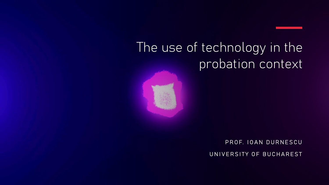## The use of technology in the probation context



PROF. IOAN DURNESCU

UNIVERSITY OF BUCHAREST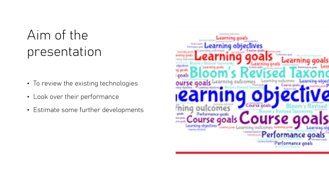### Aim of the presentation

- To review the existing technologies
- Look over their performance
- Estimate some further developments

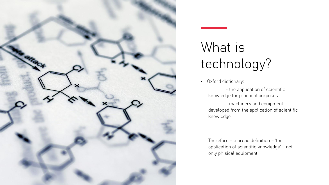

# What is technology?

• Oxford dictionary:

- the application of scientific knowledge for practical purposes

- machinery and equipment developed from the application of scientific knowledge

Therefore – a broad definition – 'the application of scientific knowledge' – not only phisical equipment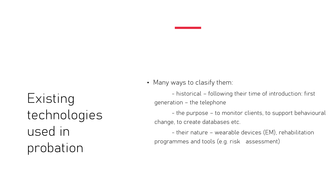Existing technologies used in probation

• Many ways to clasify them:

- historical – following their time of introduction: first generation – the telephone

- the purpose – to monitor clients, to support behavioural change, to create databases etc.

- their nature – wearable devices (EM), rehabilitation programmes and tools (e.g. risk assessment)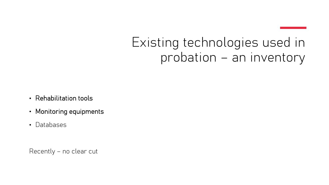#### Existing technologies used in probation – an inventory

- Rehabilitation tools
- Monitoring equipments
- Databases

Recently – no clear cut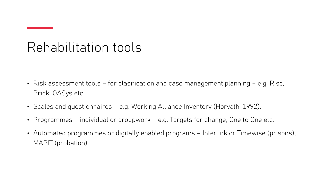#### Rehabilitation tools

- Risk assessment tools for clasification and case management planning e.g. Risc, Brick, OASys etc.
- Scales and questionnaires e.g. Working Alliance Inventory (Horvath, 1992),
- Programmes individual or groupwork e.g. Targets for change, One to One etc.
- Automated programmes or digitally enabled programs Interlink or Timewise (prisons), MAPIT (probation)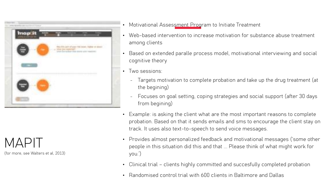

 $MAPII$ (for more, see Walters et al, 2013)

- Motivational Assessment Program to Initiate Treatment
- Web-based intervention to increase motivation for substance abuse treatment among clients
- Based on extended paralle process model, motivational interviewing and social cognitive theory
- Two sessions:
	- Targets motivation to complete probation and take up the drug treatment (at the begining)
	- Focuses on goal setting, coping strategies and social support (after 30 days from begining)
- Example: is asking the client what are the most important reasons to complete probation. Based on that it sends emails and sms to encourage the client stay on track. It uses also text-to-speech to send voice messages.
- Provides almost personalized feedback and motivational messages ('some other people in this situation did this and that ... Please think of what might work for you.')
- Clinical trial clients highly committed and succesfully completed probation
- Randomised control trial with 600 clients in Baltimore and Dallas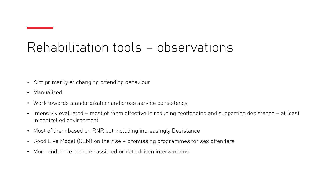#### Rehabilitation tools – observations

- Aim primarily at changing offending behaviour
- Manualized
- Work towards standardization and cross service consistency
- Intensivly evaluated most of them effective in reducing reoffending and supporting desistance at least in controlled environment
- Most of them based on RNR but including increasingly Desistance
- Good Live Model (GLM) on the rise promissing programmes for sex offenders
- More and more comuter assisted or data driven interventions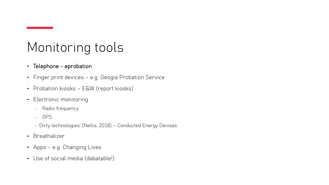#### Monitoring tools

- Telephone eprobation
- Finger print devices e.g. Geogia Probation Service
- Probation kiosks E&W (report kiosks)
- Electronic monitoring
	- Radio frequency
	- GPS
	- 'Dirty technologies' (Nellis, 2018) Conducted Energy Devises
- Breathalizer
- Apps e.g. Changing Lives
- Use of social media (dabatable!)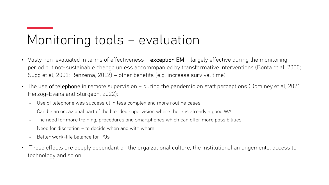#### Monitoring tools – evaluation

- Vasty non-evaluated in terms of effectiveness exception EM largely effective during the monitoring period but not-sustainable change unless accommpanied by transformative interventions (Bonta et al, 2000; Sugg et al, 2001; Renzema, 2012) – other benefits (e.g. increase survival time)
- The use of telephone in remote supervision during the pandemic on staff perceptions (Dominey et al, 2021; Herzog-Evans and Sturgeon, 2022):
	- Use of telephone was successful in less complex and more routine cases
	- Can be an occazional part of the blended supervision where there is already a good WA
	- The need for more training, procedures and smartphones which can offer more possibilities
	- Need for discretion to decide when and with whom
	- Better work-life balance for POs
- These effects are deeply dependant on the orgaizational culture, the institutional arrangements, access to technology and so on.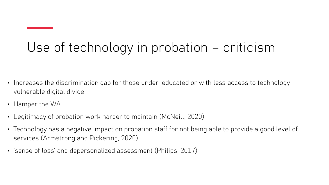#### Use of technology in probation – criticism

- Increases the discrimination gap for those under-educated or with less access to technology vulnerable digital divide
- Hamper the WA
- Legitimacy of probation work harder to maintain (McNeill, 2020)
- Technology has a negative impact on probation staff for not being able to provide a good level of services (Armstrong and Pickering, 2020)
- 'sense of loss' and depersonalized assessment (Philips, 2017)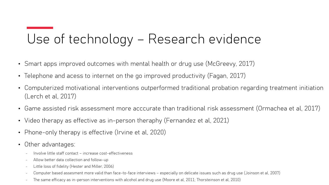#### Use of technology – Research evidence

- Smart apps improved outcomes with mental health or drug use (McGreevy, 2017)
- Telephone and acess to internet on the go improved productivity (Fagan, 2017)
- Computerized motivational interventions outperformed traditional probation regarding treatment initiation (Lerch et al, 2017)
- Game assisted risk assessment more acccurate than traditional risk assessment (Ormachea et al, 2017)
- Video therapy as effective as in-person theraphy (Fernandez et al, 2021)
- Phone-only therapy is effective (Irvine et al, 2020)
- Other advantages:
	- Involve little staff contact increase cost-effectiveness
	- Allow better data collection and follow-up
	- Little loss of fidelity (Hester and Miller, 2006)
	- Computer based assesment more valid than face-to-face interviews especially on delicate issues such as drug use (Joinson et al, 2007)
	- The same efficacy as in-person interventions with alcohol and drug use (Moore et al, 2011; Thorsteinson et al, 2010)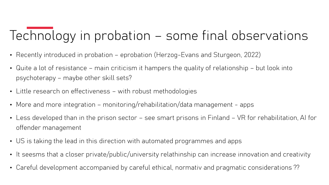#### Technology in probation – some final observations

- Recently introduced in probation eprobation (Herzog-Evans and Sturgeon, 2022)
- Quite a lot of resistance main criticism it hampers the quality of relationship but look into psychoterapy – maybe other skill sets?
- Little research on effectiveness with robust methodologies
- More and more integration monitoring/rehabilitation/data management apps
- Less developed than in the prison sector see smart prisons in Finland VR for rehabilitation, AI for offender management
- US is taking the lead in this direction with automated programmes and apps
- It seesms that a closer private/public/university relathinship can increase innovation and creativity
- Careful development accompanied by careful ethical, normativ and pragmatic considerations ??